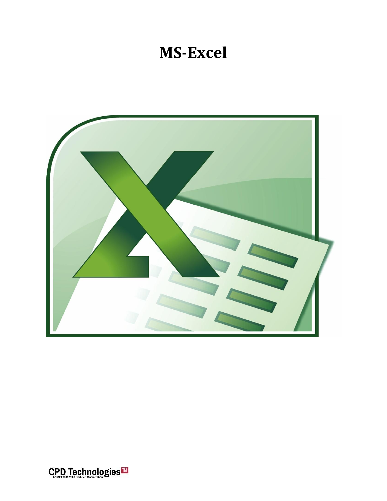## **MS-Excel**



CPD Technologies<sup>™</sup>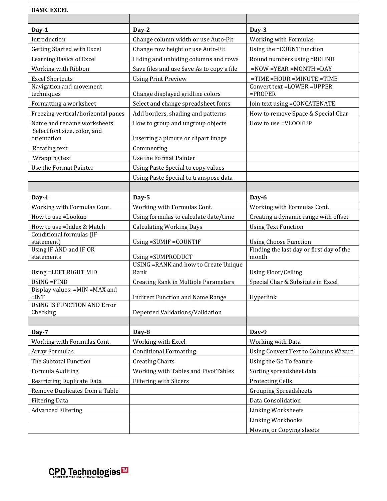| <b>BASIC EXCEL</b>                             |                                               |                                                                          |
|------------------------------------------------|-----------------------------------------------|--------------------------------------------------------------------------|
|                                                |                                               |                                                                          |
| Day-1                                          | Day-2                                         | Day-3                                                                    |
| Introduction                                   | Change column width or use Auto-Fit           | Working with Formulas                                                    |
| <b>Getting Started with Excel</b>              | Change row height or use Auto-Fit             | Using the =COUNT function                                                |
| Learning Basics of Excel                       | Hiding and unhiding columns and rows          | Round numbers using = ROUND                                              |
| Working with Ribbon                            | Save files and use Save As to copy a file     | $=$ NOW $=$ YEAR $=$ MONTH $=$ DAY                                       |
| <b>Excel Shortcuts</b>                         | <b>Using Print Preview</b>                    | $=$ TIME $=$ HOUR $=$ MINUTE $=$ TIME                                    |
| Navigation and movement<br>techniques          | Change displayed gridline colors              | Convert text =LOWER =UPPER<br>$=$ PROPER                                 |
| Formatting a worksheet                         | Select and change spreadsheet fonts           | Join text using =CONCATENATE                                             |
| Freezing vertical/horizontal panes             | Add borders, shading and patterns             | How to remove Space & Special Char                                       |
| Name and rename worksheets                     | How to group and ungroup objects              | How to use =VLOOKUP                                                      |
| Select font size, color, and<br>orientation    | Inserting a picture or clipart image          |                                                                          |
| Rotating text                                  | Commenting                                    |                                                                          |
| Wrapping text                                  | Use the Format Painter                        |                                                                          |
| Use the Format Painter                         | <b>Using Paste Special to copy values</b>     |                                                                          |
|                                                | Using Paste Special to transpose data         |                                                                          |
|                                                |                                               |                                                                          |
| Day-4                                          | Day-5                                         | Day-6                                                                    |
| Working with Formulas Cont.                    | Working with Formulas Cont.                   | Working with Formulas Cont.                                              |
| How to use =Lookup                             | Using formulas to calculate date/time         | Creating a dynamic range with offset                                     |
| How to use = Index & Match                     | <b>Calculating Working Days</b>               | <b>Using Text Function</b>                                               |
| Conditional formulas (IF                       |                                               |                                                                          |
| statement)<br>Using IF AND and IF OR           | Using = SUMIF = COUNTIF                       | <b>Using Choose Function</b><br>Finding the last day or first day of the |
| statements                                     | Using = SUMPRODUCT                            | month                                                                    |
| Using =LEFT, RIGHT MID                         | USING = RANK and how to Create Unique<br>Rank | <b>Using Floor/Ceiling</b>                                               |
| USING = FIND                                   | <b>Creating Rank in Multiple Parameters</b>   | Special Char & Subsitute in Excel                                        |
| Display values: = MIN = MAX and<br>$=INT$      | <b>Indirect Function and Name Range</b>       | Hyperlink                                                                |
| <b>USING IS FUNCTION AND Error</b><br>Checking | Depented Validations/Validation               |                                                                          |
|                                                |                                               |                                                                          |
| Day-7                                          | Day-8                                         | Day-9                                                                    |
| Working with Formulas Cont.                    | Working with Excel                            | Working with Data                                                        |
| Array Formulas                                 | <b>Conditional Formatting</b>                 | Using Convert Text to Columns Wizard                                     |
| The Subtotal Function                          | <b>Creating Charts</b>                        | Using the Go To feature                                                  |
| Formula Auditing                               | Working with Tables and PivotTables           | Sorting spreadsheet data                                                 |
| <b>Restricting Duplicate Data</b>              | Filtering with Slicers                        | <b>Protecting Cells</b>                                                  |
| Remove Duplicates from a Table                 |                                               | <b>Grouping Spreadsheets</b>                                             |
| <b>Filtering Data</b>                          |                                               | Data Consolidation                                                       |
| <b>Advanced Filtering</b>                      |                                               | <b>Linking Worksheets</b>                                                |
|                                                |                                               | Linking Workbooks                                                        |
|                                                |                                               | Moving or Copying sheets                                                 |

CPD Technologies<sup>™</sup>